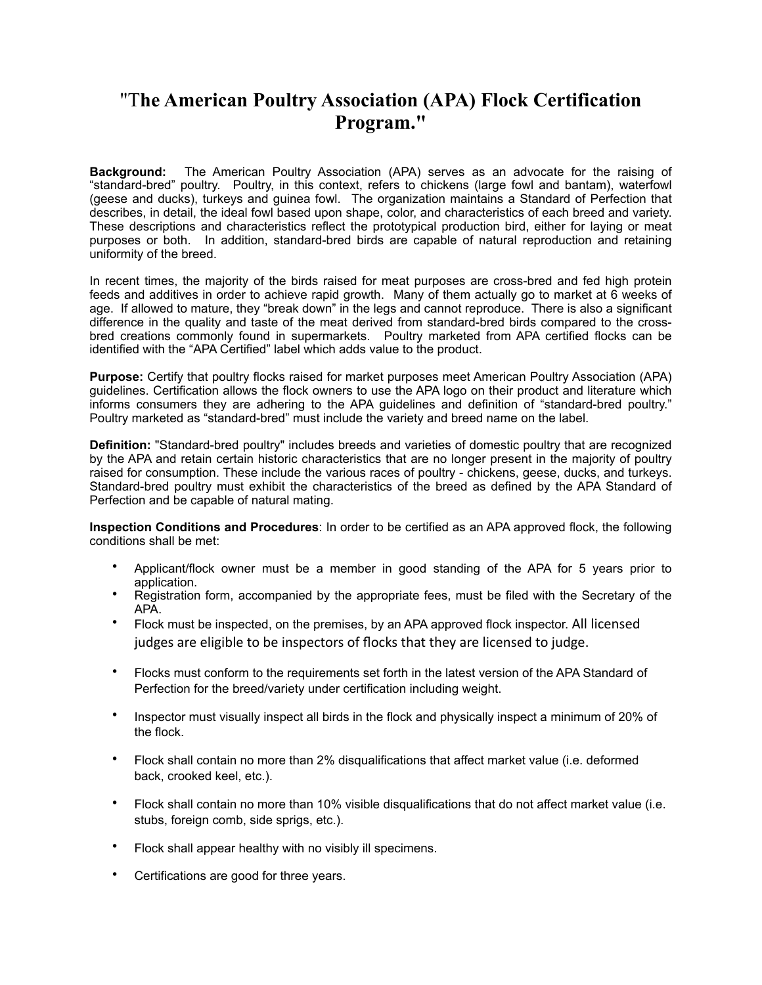# "T**he American Poultry Association (APA) Flock Certification Program."**

**Background:** The American Poultry Association (APA) serves as an advocate for the raising of "standard-bred" poultry. Poultry, in this context, refers to chickens (large fowl and bantam), waterfowl (geese and ducks), turkeys and guinea fowl. The organization maintains a Standard of Perfection that describes, in detail, the ideal fowl based upon shape, color, and characteristics of each breed and variety. These descriptions and characteristics reflect the prototypical production bird, either for laying or meat purposes or both. In addition, standard-bred birds are capable of natural reproduction and retaining uniformity of the breed.

In recent times, the majority of the birds raised for meat purposes are cross-bred and fed high protein feeds and additives in order to achieve rapid growth. Many of them actually go to market at 6 weeks of age. If allowed to mature, they "break down" in the legs and cannot reproduce. There is also a significant difference in the quality and taste of the meat derived from standard-bred birds compared to the crossbred creations commonly found in supermarkets. Poultry marketed from APA certified flocks can be identified with the "APA Certified" label which adds value to the product.

**Purpose:** Certify that poultry flocks raised for market purposes meet American Poultry Association (APA) guidelines. Certification allows the flock owners to use the APA logo on their product and literature which informs consumers they are adhering to the APA guidelines and definition of "standard-bred poultry." Poultry marketed as "standard-bred" must include the variety and breed name on the label.

**Definition:** "Standard-bred poultry" includes breeds and varieties of domestic poultry that are recognized by the APA and retain certain historic characteristics that are no longer present in the majority of poultry raised for consumption. These include the various races of poultry - chickens, geese, ducks, and turkeys. Standard-bred poultry must exhibit the characteristics of the breed as defined by the APA Standard of Perfection and be capable of natural mating.

**Inspection Conditions and Procedures**: In order to be certified as an APA approved flock, the following conditions shall be met:

- Applicant/flock owner must be a member in good standing of the APA for 5 years prior to application.
- Registration form, accompanied by the appropriate fees, must be filed with the Secretary of the APA.
- Flock must be inspected, on the premises, by an APA approved flock inspector. All licensed judges are eligible to be inspectors of flocks that they are licensed to judge.
- Flocks must conform to the requirements set forth in the latest version of the APA Standard of Perfection for the breed/variety under certification including weight.
- Inspector must visually inspect all birds in the flock and physically inspect a minimum of 20% of the flock.
- Flock shall contain no more than 2% disqualifications that affect market value (i.e. deformed back, crooked keel, etc.).
- Flock shall contain no more than 10% visible disqualifications that do not affect market value (i.e. stubs, foreign comb, side sprigs, etc.).
- Flock shall appear healthy with no visibly ill specimens.
- Certifications are good for three years.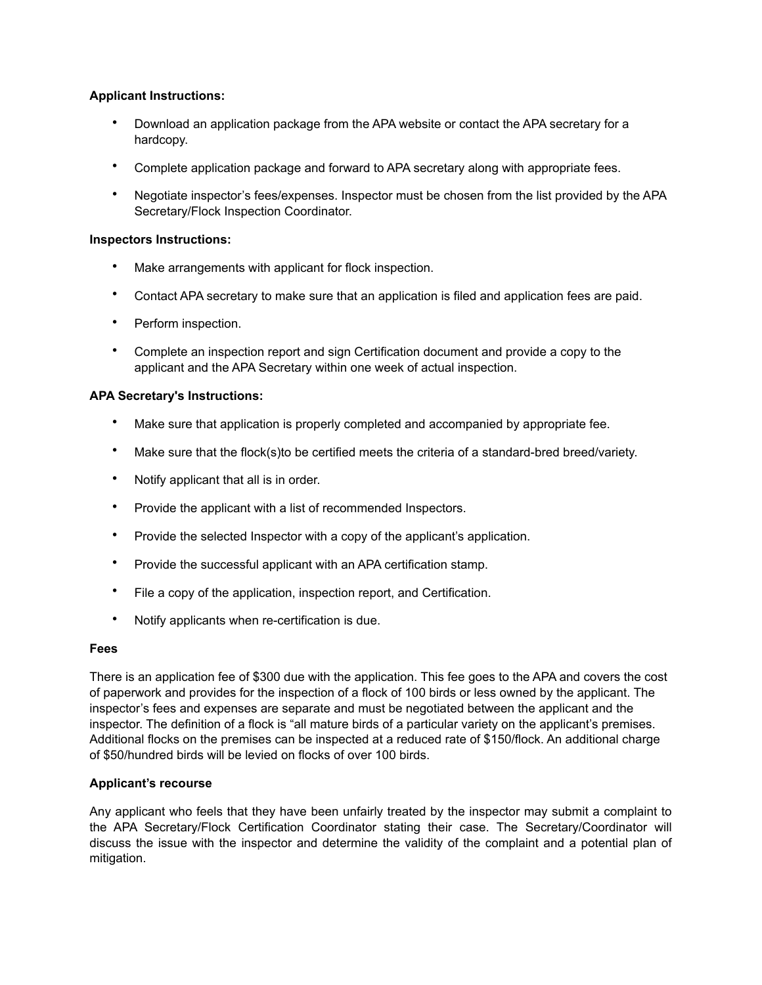#### **Applicant Instructions:**

- Download an application package from the APA website or contact the APA secretary for a hardcopy.
- Complete application package and forward to APA secretary along with appropriate fees.
- Negotiate inspector's fees/expenses. Inspector must be chosen from the list provided by the APA Secretary/Flock Inspection Coordinator.

#### **Inspectors Instructions:**

- Make arrangements with applicant for flock inspection.
- Contact APA secretary to make sure that an application is filed and application fees are paid.
- Perform inspection.
- Complete an inspection report and sign Certification document and provide a copy to the applicant and the APA Secretary within one week of actual inspection.

#### **APA Secretary's Instructions:**

- Make sure that application is properly completed and accompanied by appropriate fee.
- Make sure that the flock(s)to be certified meets the criteria of a standard-bred breed/variety.
- Notify applicant that all is in order.
- Provide the applicant with a list of recommended Inspectors.
- Provide the selected Inspector with a copy of the applicant's application.
- Provide the successful applicant with an APA certification stamp.
- File a copy of the application, inspection report, and Certification.
- Notify applicants when re-certification is due.

#### **Fees**

There is an application fee of \$300 due with the application. This fee goes to the APA and covers the cost of paperwork and provides for the inspection of a flock of 100 birds or less owned by the applicant. The inspector's fees and expenses are separate and must be negotiated between the applicant and the inspector. The definition of a flock is "all mature birds of a particular variety on the applicant's premises. Additional flocks on the premises can be inspected at a reduced rate of \$150/flock. An additional charge of \$50/hundred birds will be levied on flocks of over 100 birds.

#### **Applicant's recourse**

Any applicant who feels that they have been unfairly treated by the inspector may submit a complaint to the APA Secretary/Flock Certification Coordinator stating their case. The Secretary/Coordinator will discuss the issue with the inspector and determine the validity of the complaint and a potential plan of mitigation.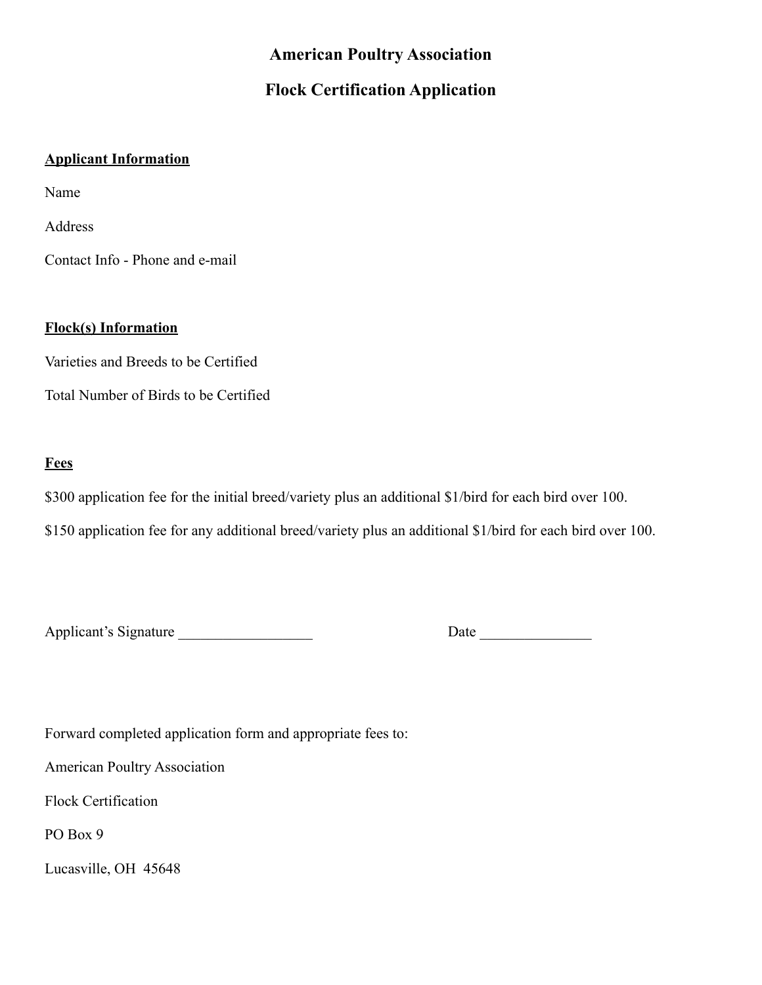# **American Poultry Association Flock Certification Application**

### **Applicant Information**

Name

Address

Contact Info - Phone and e-mail

## **Flock(s) Information**

Varieties and Breeds to be Certified

Total Number of Birds to be Certified

## **Fees**

\$300 application fee for the initial breed/variety plus an additional \$1/bird for each bird over 100.

\$150 application fee for any additional breed/variety plus an additional \$1/bird for each bird over 100.

Applicant's Signature \_\_\_\_\_\_\_\_\_\_\_\_\_\_\_\_\_\_ Date \_\_\_\_\_\_\_\_\_\_\_\_\_\_\_

Forward completed application form and appropriate fees to:

American Poultry Association

Flock Certification

PO Box 9

Lucasville, OH 45648